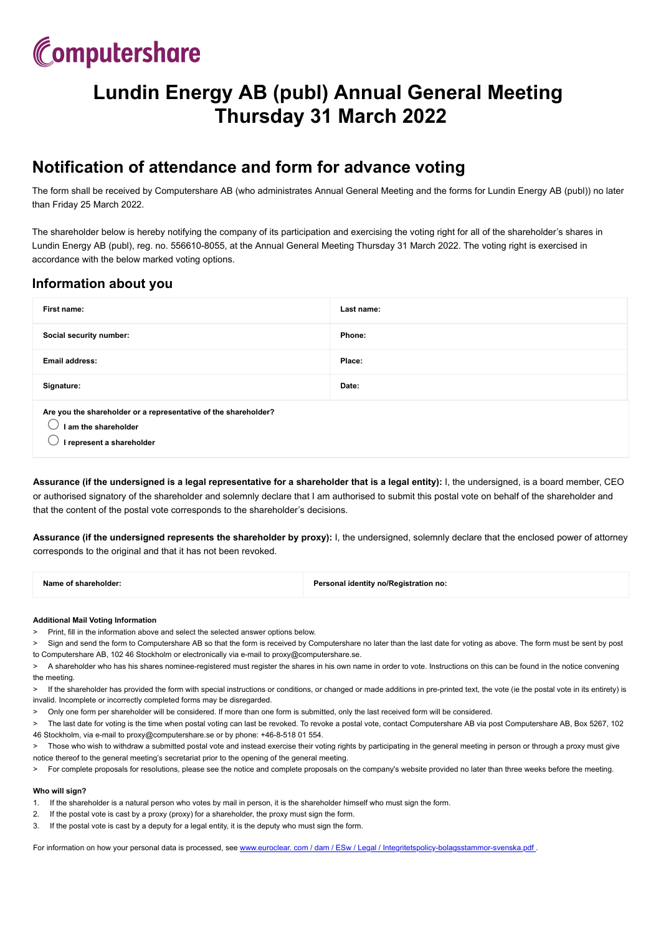# Computershare

# **Lundin Energy AB (publ) Annual General Meeting Thursday 31 March 2022**

## **Notification of attendance and form for advance voting**

The form shall be received by Computershare AB (who administrates Annual General Meeting and the forms for Lundin Energy AB (publ)) no later than Friday 25 March 2022.

The shareholder below is hereby notifying the company of its participation and exercising the voting right for all of the shareholder's shares in Lundin Energy AB (publ), reg. no. 556610-8055, at the Annual General Meeting Thursday 31 March 2022. The voting right is exercised in accordance with the below marked voting options.

## **Information about you**

| First name:                                                                                                          | Last name: |  |
|----------------------------------------------------------------------------------------------------------------------|------------|--|
| Social security number:                                                                                              | Phone:     |  |
| <b>Email address:</b>                                                                                                | Place:     |  |
| Signature:                                                                                                           | Date:      |  |
| Are you the shareholder or a representative of the shareholder?<br>I am the shareholder<br>I represent a shareholder |            |  |

**Assurance (if the undersigned is a legal representative for a shareholder that is a legal entity):** I, the undersigned, is a board member, CEO or authorised signatory of the shareholder and solemnly declare that I am authorised to submit this postal vote on behalf of the shareholder and that the content of the postal vote corresponds to the shareholder's decisions.

**Assurance (if the undersigned represents the shareholder by proxy):** I, the undersigned, solemnly declare that the enclosed power of attorney corresponds to the original and that it has not been revoked.

| Name of shareholder: | Personal identity no/Registration no: |
|----------------------|---------------------------------------|
|                      |                                       |
|                      |                                       |

### **Additional Mail Voting Information**

> Print, fill in the information above and select the selected answer options below.

- Sign and send the form to Computershare AB so that the form is received by Computershare no later than the last date for voting as above. The form must be sent by post to Computershare AB, 102 46 Stockholm or electronically via e-mail to proxy@computershare.se.
- > A shareholder who has his shares nominee-registered must register the shares in his own name in order to vote. Instructions on this can be found in the notice convening the meeting.
- > If the shareholder has provided the form with special instructions or conditions, or changed or made additions in pre-printed text, the vote (ie the postal vote in its entirety) is invalid. Incomplete or incorrectly completed forms may be disregarded.
- > Only one form per shareholder will be considered. If more than one form is submitted, only the last received form will be considered.
- > The last date for voting is the time when postal voting can last be revoked. To revoke a postal vote, contact Computershare AB via post Computershare AB, Box 5267, 102 46 Stockholm, via e-mail to proxy@computershare.se or by phone: +46-8-518 01 554.
- Those who wish to withdraw a submitted postal vote and instead exercise their voting rights by participating in the general meeting in person or through a proxy must give notice thereof to the general meeting's secretariat prior to the opening of the general meeting.
- > For complete proposals for resolutions, please see the notice and complete proposals on the company's website provided no later than three weeks before the meeting.

### **Who will sign?**

- 1. If the shareholder is a natural person who votes by mail in person, it is the shareholder himself who must sign the form.
- 2. If the postal vote is cast by a proxy (proxy) for a shareholder, the proxy must sign the form.
- 3. If the postal vote is cast by a deputy for a legal entity, it is the deputy who must sign the form.

For information on how your personal data is processed, see www.euroclear. com / dam / ESw / Legal / [Integritetspolicy-bolagsstammor-svenska.pdf](https://www.euroclear.com/dam/ESw/Legal/Integritetspolicy-bolagsstammor-engelska.pdf)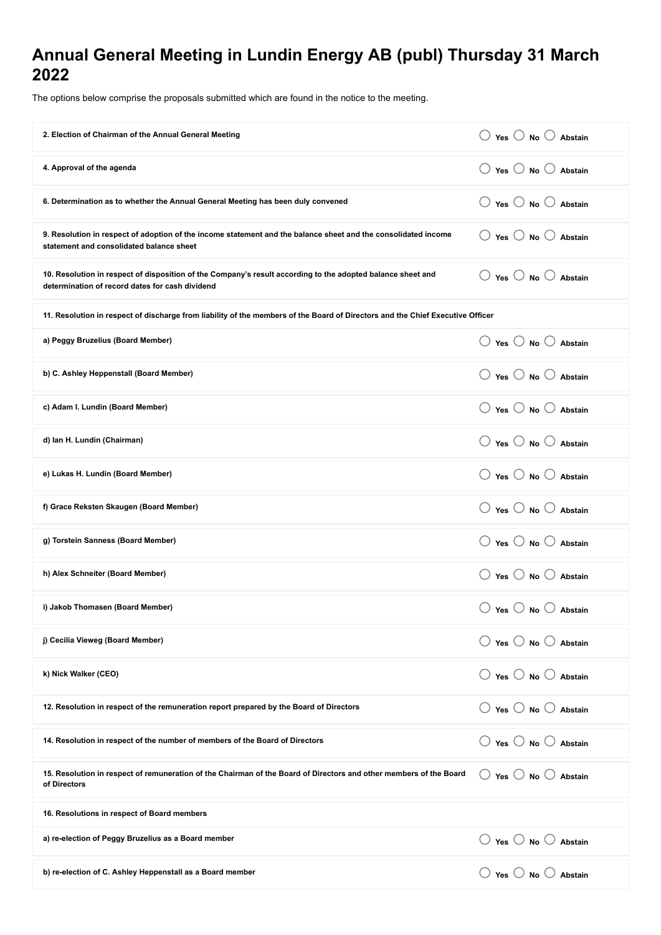## **Annual General Meeting in Lundin Energy AB (publ) Thursday 31 March 2022**

The options below comprise the proposals submitted which are found in the notice to the meeting.

| 2. Election of Chairman of the Annual General Meeting                                                                                                          | $\bigcirc$ Yes $\bigcirc$ No $\bigcirc$ Abstain         |  |
|----------------------------------------------------------------------------------------------------------------------------------------------------------------|---------------------------------------------------------|--|
| 4. Approval of the agenda                                                                                                                                      | $\left(\right)$<br>Yes $\bigcirc$ No $\bigcirc$ Abstain |  |
| 6. Determination as to whether the Annual General Meeting has been duly convened                                                                               | $\bigcirc$ Yes $\bigcirc$ No $\bigcirc$ Abstain         |  |
| 9. Resolution in respect of adoption of the income statement and the balance sheet and the consolidated income<br>statement and consolidated balance sheet     | $\bigcirc$ Yes $\bigcirc$ No $\bigcirc$ Abstain         |  |
| 10. Resolution in respect of disposition of the Company's result according to the adopted balance sheet and<br>determination of record dates for cash dividend | $\bigcirc$ Yes $\bigcirc$ No $\bigcirc$ Abstain         |  |
| 11. Resolution in respect of discharge from liability of the members of the Board of Directors and the Chief Executive Officer                                 |                                                         |  |
| a) Peggy Bruzelius (Board Member)                                                                                                                              | ○ Yes ○ No ○ Abstain                                    |  |
| b) C. Ashley Heppenstall (Board Member)                                                                                                                        | $\bigcirc$ Yes $\bigcirc$ No $\bigcirc$ Abstain         |  |
| c) Adam I. Lundin (Board Member)                                                                                                                               | $\bigcirc$ Yes $\bigcirc$ No $\bigcirc$ Abstain         |  |
| d) Ian H. Lundin (Chairman)                                                                                                                                    | $\bigcirc$ Yes $\bigcirc$ No $\bigcirc$ Abstain         |  |
| e) Lukas H. Lundin (Board Member)                                                                                                                              | $\bigcirc$ Yes $\bigcirc$ No $\bigcirc$ Abstain         |  |
| f) Grace Reksten Skaugen (Board Member)                                                                                                                        | ○ Yes ○ No ○ Abstain                                    |  |
| g) Torstein Sanness (Board Member)                                                                                                                             | $\bigcirc$ Yes $\bigcirc$ No $\bigcirc$ Abstain         |  |
| h) Alex Schneiter (Board Member)                                                                                                                               | $\bigcirc$ Yes $\bigcirc$ No $\bigcirc$ Abstain         |  |
| i) Jakob Thomasen (Board Member)                                                                                                                               | $\bigcirc$ Yes $\bigcirc$ No $\bigcirc$ Abstain         |  |
| j) Cecilia Vieweg (Board Member)                                                                                                                               | $\bigcirc$ Yes $\bigcirc$ No $\bigcirc$ Abstain         |  |
| k) Nick Walker (CEO)                                                                                                                                           | $\bigcirc$ Yes $\bigcirc$ No $\bigcirc$ Abstain         |  |
| 12. Resolution in respect of the remuneration report prepared by the Board of Directors                                                                        | $\bigcirc$ Yes $\bigcirc$ No $\bigcirc$ Abstain         |  |
| 14. Resolution in respect of the number of members of the Board of Directors                                                                                   | $\bigcirc$ Yes $\bigcirc$ No $\bigcirc$ Abstain         |  |
| 15. Resolution in respect of remuneration of the Chairman of the Board of Directors and other members of the Board<br>of Directors                             | $\bigcirc$ Yes $\bigcirc$ No $\bigcirc$ Abstain         |  |
| 16. Resolutions in respect of Board members                                                                                                                    |                                                         |  |
| a) re-election of Peggy Bruzelius as a Board member                                                                                                            | $\bigcirc$ Yes $\bigcirc$ No $\bigcirc$ Abstain         |  |
| b) re-election of C. Ashley Heppenstall as a Board member                                                                                                      | $\bigcirc$ Yes $\bigcirc$ No $\bigcirc$ Abstain         |  |